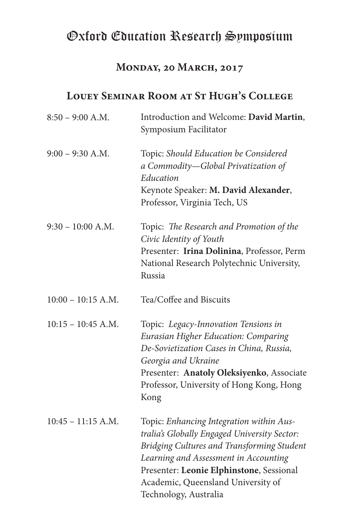### **Monday, 20 March, 2017**

### **Louey Seminar Room at St Hugh's College**

| $8:50 - 9:00$ A.M.   | Introduction and Welcome: David Martin,<br>Symposium Facilitator                                                                                                                                                                                                                           |
|----------------------|--------------------------------------------------------------------------------------------------------------------------------------------------------------------------------------------------------------------------------------------------------------------------------------------|
| $9:00 - 9:30$ A.M.   | Topic: Should Education be Considered<br>a Commodity-Global Privatization of<br>Education<br>Keynote Speaker: M. David Alexander,<br>Professor, Virginia Tech, US                                                                                                                          |
| $9:30 - 10:00$ A.M.  | Topic: The Research and Promotion of the<br>Civic Identity of Youth<br>Presenter: Irina Dolinina, Professor, Perm<br>National Research Polytechnic University,<br>Russia                                                                                                                   |
| $10:00 - 10:15$ A.M. | Tea/Coffee and Biscuits                                                                                                                                                                                                                                                                    |
| $10:15 - 10:45$ A.M. | Topic: Legacy-Innovation Tensions in<br>Eurasian Higher Education: Comparing<br>De-Sovietization Cases in China, Russia,<br>Georgia and Ukraine<br>Presenter: Anatoly Oleksiyenko, Associate<br>Professor, University of Hong Kong, Hong<br>Kong                                           |
| $10:45 - 11:15$ A.M. | Topic: Enhancing Integration within Aus-<br>tralia's Globally Engaged University Sector:<br>Bridging Cultures and Transforming Student<br>Learning and Assessment in Accounting<br>Presenter: Leonie Elphinstone, Sessional<br>Academic, Queensland University of<br>Technology, Australia |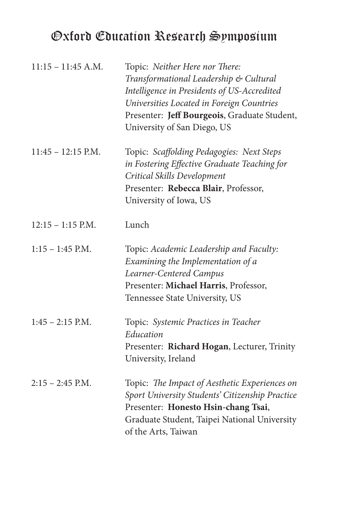| $11:15 - 11:45$ A.M. | Topic: Neither Here nor There:<br>Transformational Leadership & Cultural<br>Intelligence in Presidents of US-Accredited<br>Universities Located in Foreign Countries<br>Presenter: Jeff Bourgeois, Graduate Student,<br>University of San Diego, US |
|----------------------|-----------------------------------------------------------------------------------------------------------------------------------------------------------------------------------------------------------------------------------------------------|
| $11:45 - 12:15$ P.M. | Topic: Scaffolding Pedagogies: Next Steps<br>in Fostering Effective Graduate Teaching for<br>Critical Skills Development<br>Presenter: Rebecca Blair, Professor,<br>University of Iowa, US                                                          |
| $12:15 - 1:15$ P.M.  | Lunch                                                                                                                                                                                                                                               |
| $1:15 - 1:45$ P.M.   | Topic: Academic Leadership and Faculty:<br>Examining the Implementation of a<br>Learner-Centered Campus<br>Presenter: Michael Harris, Professor,<br>Tennessee State University, US                                                                  |
| $1:45 - 2:15$ P.M.   | Topic: Systemic Practices in Teacher<br>Education<br>Presenter: Richard Hogan, Lecturer, Trinity<br>University, Ireland                                                                                                                             |
| $2:15 - 2:45$ P.M.   | Topic: The Impact of Aesthetic Experiences on<br>Sport University Students' Citizenship Practice<br>Presenter: Honesto Hsin-chang Tsai,<br>Graduate Student, Taipei National University<br>of the Arts, Taiwan                                      |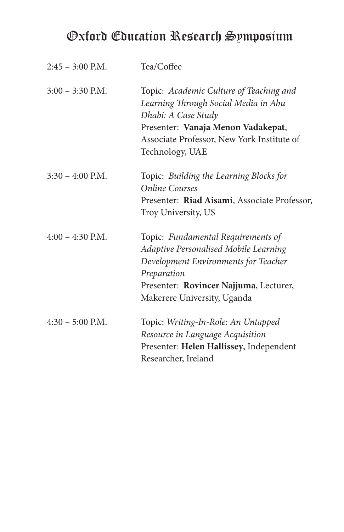| $2:45 - 3:00$ P.M. | Tea/Coffee                                                                                                                                                                                                    |
|--------------------|---------------------------------------------------------------------------------------------------------------------------------------------------------------------------------------------------------------|
| $3:00 - 3:30$ P.M. | Topic: Academic Culture of Teaching and<br>Learning Through Social Media in Abu<br>Dhabi: A Case Study<br>Presenter: Vanaja Menon Vadakepat,<br>Associate Professor, New York Institute of<br>Technology, UAE |
| $3:30 - 4:00$ P.M. | Topic: Building the Learning Blocks for<br><b>Online Courses</b><br>Presenter: Riad Aisami, Associate Professor,<br>Troy University, US                                                                       |
| $4:00 - 4:30$ P.M. | Topic: Fundamental Requirements of<br>Adaptive Personalised Mobile Learning<br>Development Environments for Teacher<br>Preparation<br>Presenter: Rovincer Najjuma, Lecturer,<br>Makerere University, Uganda   |
| $4:30 - 5:00$ P.M. | Topic: Writing-In-Role: An Untapped<br>Resource in Language Acquisition<br>Presenter: Helen Hallissey, Independent<br>Researcher, Ireland                                                                     |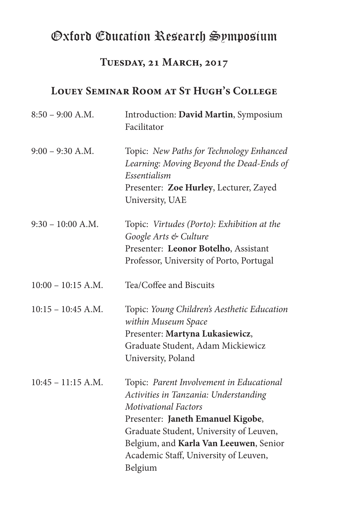### **Tuesday, 21 March, 2017**

### **Louey Seminar Room at St Hugh's College**

| $8:50 - 9:00$ A.M.   | Introduction: David Martin, Symposium<br>Facilitator                                                                                                                                                                                                                                           |
|----------------------|------------------------------------------------------------------------------------------------------------------------------------------------------------------------------------------------------------------------------------------------------------------------------------------------|
| $9:00 - 9:30$ A.M.   | Topic: New Paths for Technology Enhanced<br>Learning: Moving Beyond the Dead-Ends of<br>Essentialism<br>Presenter: Zoe Hurley, Lecturer, Zayed<br>University, UAE                                                                                                                              |
| $9:30 - 10:00$ A.M.  | Topic: Virtudes (Porto): Exhibition at the<br>Google Arts & Culture<br>Presenter: Leonor Botelho, Assistant<br>Professor, University of Porto, Portugal                                                                                                                                        |
| $10:00 - 10:15$ A.M. | Tea/Coffee and Biscuits                                                                                                                                                                                                                                                                        |
| $10:15 - 10:45$ A.M. | Topic: Young Children's Aesthetic Education<br>within Museum Space<br>Presenter: Martyna Lukasiewicz,<br>Graduate Student, Adam Mickiewicz<br>University, Poland                                                                                                                               |
| $10:45 - 11:15$ A.M. | Topic: Parent Involvement in Educational<br>Activities in Tanzania: Understanding<br><b>Motivational Factors</b><br>Presenter: Janeth Emanuel Kigobe,<br>Graduate Student, University of Leuven,<br>Belgium, and Karla Van Leeuwen, Senior<br>Academic Staff, University of Leuven,<br>Belgium |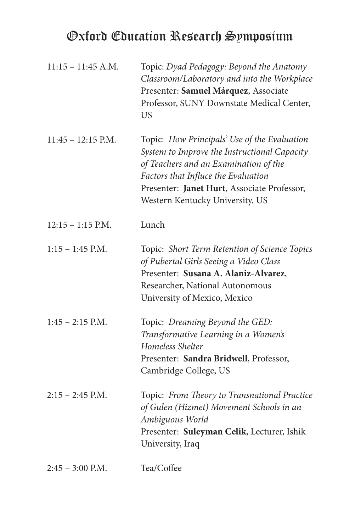| $11:15 - 11:45$ A.M. | Topic: Dyad Pedagogy: Beyond the Anatomy<br>Classroom/Laboratory and into the Workplace<br>Presenter: Samuel Márquez, Associate<br>Professor, SUNY Downstate Medical Center,<br><b>US</b>                                                                      |
|----------------------|----------------------------------------------------------------------------------------------------------------------------------------------------------------------------------------------------------------------------------------------------------------|
| $11:45 - 12:15$ P.M. | Topic: How Principals' Use of the Evaluation<br>System to Improve the Instructional Capacity<br>of Teachers and an Examination of the<br>Factors that Influce the Evaluation<br>Presenter: Janet Hurt, Associate Professor,<br>Western Kentucky University, US |
| $12:15 - 1:15$ P.M.  | Lunch                                                                                                                                                                                                                                                          |
| $1:15 - 1:45$ P.M.   | Topic: Short Term Retention of Science Topics<br>of Pubertal Girls Seeing a Video Class<br>Presenter: Susana A. Alaniz-Alvarez,<br>Researcher, National Autonomous<br>University of Mexico, Mexico                                                             |
| $1:45 - 2:15$ P.M.   | Topic: Dreaming Beyond the GED:<br>Transformative Learning in a Women's<br>Homeless Shelter<br>Presenter: Sandra Bridwell, Professor,<br>Cambridge College, US                                                                                                 |
| $2:15 - 2:45$ P.M.   | Topic: From Theory to Transnational Practice<br>of Gulen (Hizmet) Movement Schools in an<br>Ambiguous World<br>Presenter: Suleyman Celik, Lecturer, Ishik<br>University, Iraq                                                                                  |
| $2:45 - 3:00$ P.M.   | Tea/Coffee                                                                                                                                                                                                                                                     |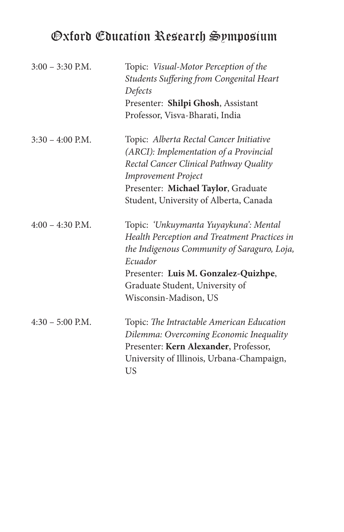| $3:00 - 3:30$ P.M. | Topic: Visual-Motor Perception of the           |
|--------------------|-------------------------------------------------|
|                    | <b>Students Suffering from Congenital Heart</b> |
|                    | Defects                                         |
|                    | Presenter: Shilpi Ghosh, Assistant              |
|                    | Professor, Visva-Bharati, India                 |
| $3:30 - 4:00$ P.M. | Topic: Alberta Rectal Cancer Initiative         |
|                    | (ARCI): Implementation of a Provincial          |
|                    | Rectal Cancer Clinical Pathway Quality          |
|                    | <b>Improvement Project</b>                      |
|                    | Presenter: Michael Taylor, Graduate             |
|                    | Student, University of Alberta, Canada          |
| $4:00 - 4:30$ P.M. | Topic: 'Unkuymanta Yuyaykuna': Mental           |
|                    | Health Perception and Treatment Practices in    |
|                    | the Indigenous Community of Saraguro, Loja,     |
|                    | Ecuador                                         |
|                    | Presenter: Luis M. Gonzalez-Quizhpe,            |
|                    | Graduate Student, University of                 |
|                    | Wisconsin-Madison, US                           |
| $4:30 - 5:00$ P.M. | Topic: The Intractable American Education       |
|                    | Dilemma: Overcoming Economic Inequality         |
|                    | Presenter: Kern Alexander, Professor,           |
|                    | University of Illinois, Urbana-Champaign,       |
|                    | US                                              |